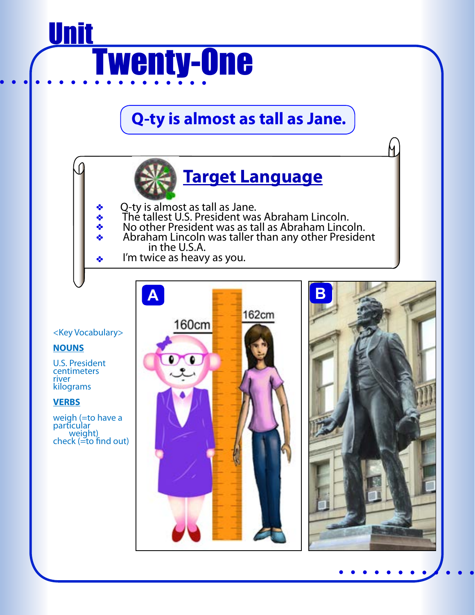# Ī Unit Twenty-One

**Q-ty is almost as tall as Jane.** 



Ч

Q-ty is almost as tall as Jane.

- The tallest U.S. President was Abraham Lincoln.
- ÷ No other President was as tall as Abraham Lincoln.
	- Abraham Lincoln was taller than any other President in the U.S.A.
	- I'm twice as heavy as you.



#### <Key Vocabulary>

÷

÷

#### **NOUNS**

U.S. President centimeters river kilograms

#### **VERBS**

weigh (=to have a particular weight)  $check (=to find out)$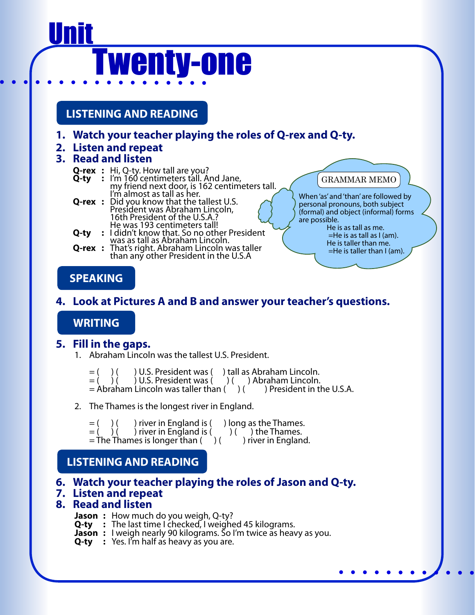# <u>Unit</u> Twenty-one

**LISTENING AND READING**

- **1. Watch your teacher playing the roles of Q-rex and Q-ty.**
- **2. Listen and repeat**

#### **3. Read and listen**

- 
- **Q-rex** : Hi, Q-ty. How tall are you?<br> **Q-ty** : I'm 160 centimeters tall. And Jane,<br>
my friend next door, is 162 centimeters tall.<br>
I'm almost as tall as her.
- **Q-rex** : Did you know that the tallest U.S.<br>President was Abraham Lincoln,<br>16th President of the U.S.A.?
- **EXECUTE:**<br>
He was 193 centimeters tall!<br> **Q-ty** : I didn't know that. So no other President<br>
was as tall as Abraham Lincoln.
- **Q-rex :** That's right. Abraham Lincoln was taller than any other President in the U.S.A

### GRAMMAR MEMO

When 'as' and 'than' are followed by personal pronouns, both subject (formal) and object (informal) forms are possible.

 He is as tall as me. =He is as tall as I (am). He is taller than me.  $=$ He is taller than I (am).

# **SPEAKING**

# **4. Look at Pictures A and B and answer your teacher's questions.**

### **WRITING**

### **5. Fill in the gaps.**

1. Abraham Lincoln was the tallest U.S. President.

= ( ) ( ) U.S. President was ( ) tall as Abraham Lincoln. = ( ) ( ) U.S. President was ( ) ( ) Abraham Lincoln.  $=$  Abraham Lincoln was taller than ( ) ( ) President in the U.S.A.

2. The Thames is the longest river in England.

 $=$  ( ) ( ) river in England is ( ) long as the Thames.  $=$  ( ) ( ) river in England is ( ) ( ) the Thames. = The Thames is longer than ( ) ( ) river in England.

# **LISTENING AND READING**

### **6. Watch your teacher playing the roles of Jason and Q-ty.**

#### **7. Listen and repeat**

#### **8. Read and listen**

- **Jason :** How much do you weigh, Q-ty?
- **Q-ty :** The last time I checked, I weighed 45 kilograms.
- **Jason :** I weigh nearly 90 kilograms. So I'm twice as heavy as you.
- **Q-ty :** Yes. I'm half as heavy as you are.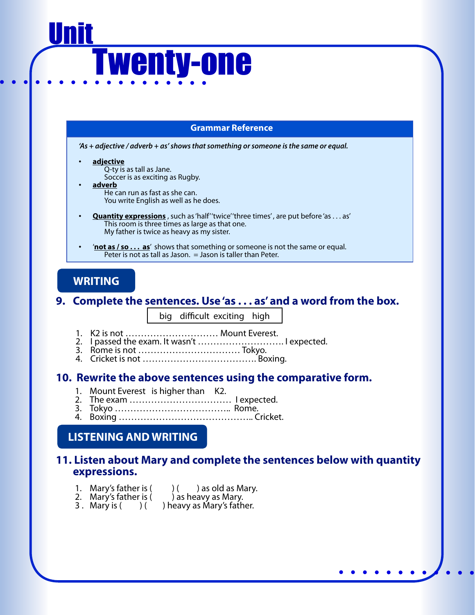# Ī <u>Unit</u> Twenty-one

#### **Grammar Reference**

*'As + adjective / adverb + as' shows that something or someone is the same or equal.*

- **adjective**
	- Q-ty is as tall as Jane. Soccer is as exciting as Rugby.
- **adverb**
	- He can run as fast as she can.
	- You write English as well as he does.
- **Quantity expressions** , such as 'half' 'twice' 'three times' , are put before 'as . . . as' This room is three times as large as that one. My father is twice as heavy as my sister.
- '**not as / so . . . as**' shows that something or someone is not the same or equal. Peter is not as tall as Jason.  $=$  Jason is taller than Peter.

### **WRITING**

#### **9. Complete the sentences. Use 'as . . . as' and a word from the box.**

big difficult exciting high

- 1. K2 is not ………………………… Mount Everest.
- 2. I passed the exam. It wasn't ………………………. I expected.
- 3. Rome is not …………………………… Tokyo.
- 4. Cricket is not ………………………………. Boxing.

#### **10. Rewrite the above sentences using the comparative form.**

- 1. Mount Everest is higher than K2.
- 2. The exam …………………………… I expected.
- 3. Tokyo ……………………………….. Rome.
- 4. Boxing …………………………………….. Cricket.

#### **LISTENING AND WRITING**

#### **11. Listen about Mary and complete the sentences below with quantity expressions.**

- 1. Mary's father is  $($   $)$   $($   $)$  as old as Mary.
- 2. Mary's father is ( ) as heavy as Mary.
- 3. Mary is  $($   $)$   $($   $)$  heavy as Mary's father.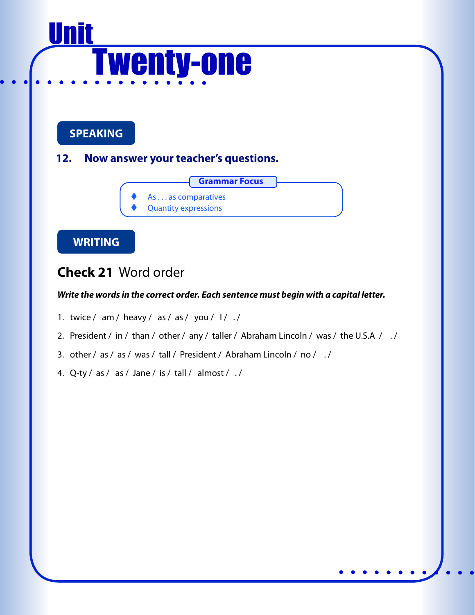# Ī <u>Unit</u> Twenty-one

**SPEAKING**

**12. Now answer your teacher's questions.** 



**WRITING**

# **Check 21** Word order

- 1. twice / am / heavy / as / as / you /  $1/$  ./
- 2. President / in / than / other / any / taller / Abraham Lincoln / was / the U.S.A / ./
- 3. other / as / as / was / tall / President / Abraham Lincoln / no / . /
- 4. Q-ty / as / as / Jane / is / tall / almost / . /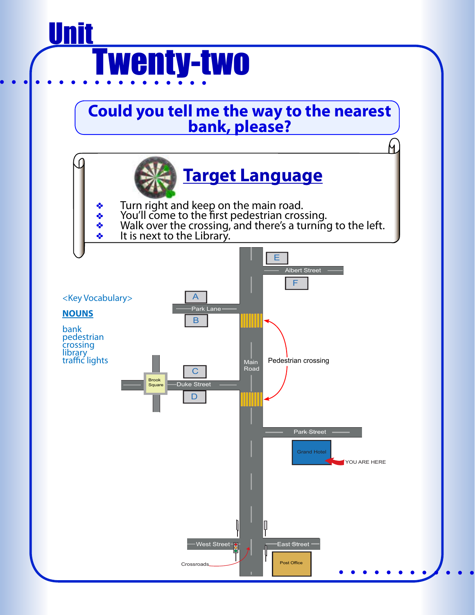# Ī <u>Unit</u> Twenty-two

# **Could you tell me the way to the nearest bank, please?**

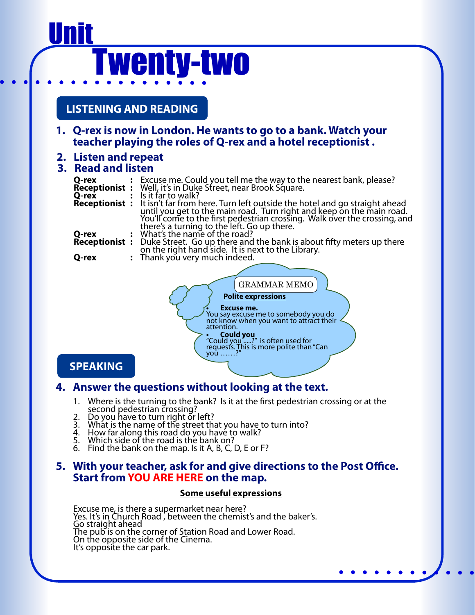# <u>Unit</u> Twenty-two

## **LISTENING AND READING**

**1. Q-rex is now in London. He wants to go to a bank. Watch your teacher playing the roles of Q-rex and a hotel receptionist .**

#### **2. Listen and repeat**

#### **3. Read and listen**

| Q-rex<br><b>Receptionist:</b><br>Q-rex             |  | : Excuse me. Could you tell me the way to the nearest bank, please?<br>Well, it's in Duke Street, near Brook Square.<br>Is it far to walk?<br><b>Receptionist :</b> It isn't far from here. Turn left outside the hotel and go straight ahead |  |  |
|----------------------------------------------------|--|-----------------------------------------------------------------------------------------------------------------------------------------------------------------------------------------------------------------------------------------------|--|--|
|                                                    |  | until you get to the main road. Turn right and keep on the main road.<br>You'll come to the first pedestrian crossing. Walk over the crossing, and<br>there's a turning to the left. Go up there.                                             |  |  |
| Q-rex                                              |  | What's the name of the road?                                                                                                                                                                                                                  |  |  |
| <b>Receptionist:</b>                               |  | Duke Street. Go up there and the bank is about fifty meters up there on the right hand side. It is next to the Library.                                                                                                                       |  |  |
|                                                    |  |                                                                                                                                                                                                                                               |  |  |
|                                                    |  |                                                                                                                                                                                                                                               |  |  |
| Q-rex                                              |  | : Thank you very much indeed.                                                                                                                                                                                                                 |  |  |
|                                                    |  |                                                                                                                                                                                                                                               |  |  |
|                                                    |  | <b>GRAMMAR MEMO</b>                                                                                                                                                                                                                           |  |  |
| <b>Polite expressions</b>                          |  |                                                                                                                                                                                                                                               |  |  |
| Excuse me.<br>You say excuse me to somebody you do |  |                                                                                                                                                                                                                                               |  |  |
|                                                    |  | not know when you want to attract their                                                                                                                                                                                                       |  |  |

**• Could you** "Could you .....?" is often used for requests. This is more polite than "Can

**SPEAKING**

#### **4. Answer the questions without looking at the text.**

1. Where is the turning to the bank? Is it at the first pedestrian crossing or at the second pedestrian crossing?<br>2. Do you have to turn right or left?

attention.

vou ……?

- 
- 3. What is the name of the street that you have to turn into?<br>4. How far along this road do you have to walk?<br>5. Which side of the road is the bank on?
- 
- 
- 6. Find the bank on the map. Is it A, B, C, D, E or F?

#### **5. With your teacher, ask for and give directions to the Post Office. Start from YOU ARE HERE on the map.**

#### **Some useful expressions**

Excuse me, is there a supermarket near here? Yes. It's in Church Road , between the chemist's and the baker's. Go straight ahead The pub is on the corner of Station Road and Lower Road. On the opposite side of the Cinema. It's opposite the car park.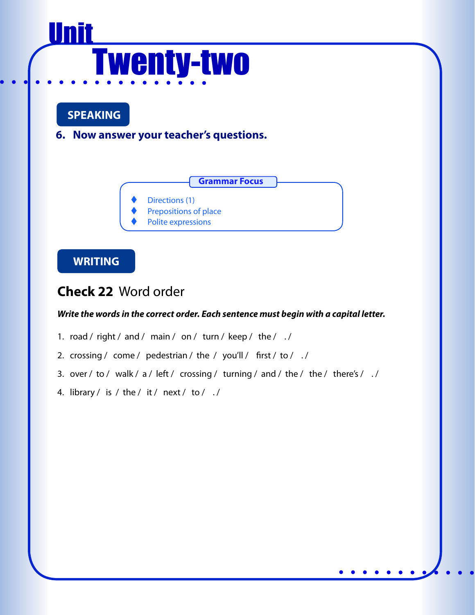# **<u>Unit</u>** Twenty-two

# **SPEAKING**

**6. Now answer your teacher's questions.** 



- Directions (1)
- Prepositions of place
- Polite expressions

## **WRITING**

# **Check 22** Word order

- 1. road / right / and / main / on / turn / keep / the / ./
- 2. crossing / come / pedestrian / the / you'll / first / to / ./
- 3. over / to / walk / a / left / crossing / turning / and / the / the / there's /  $\sqrt{ }$
- 4. library / is / the / it / next / to /  $\sqrt{ }$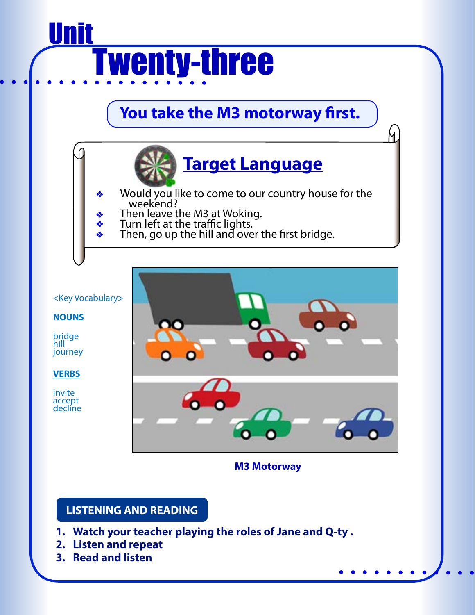# Ī <u>Unit</u> **Twenty-three**

# **You take the M3 motorway first.**



N.

- Would you like to come to our country house for the weekend?
- **Then leave the M3 at Woking.**
- **Turn left at the traffic lights.**
- **Then, go up the hill and over the first bridge.**

<Key Vocabulary>

#### **NOUNS**

bridge hill journey

**VERBS**

invite accept decline



**M3 Motorway**

### **LISTENING AND READING**

- **1. Watch your teacher playing the roles of Jane and Q-ty .**
- **2. Listen and repeat**
- **3. Read and listen**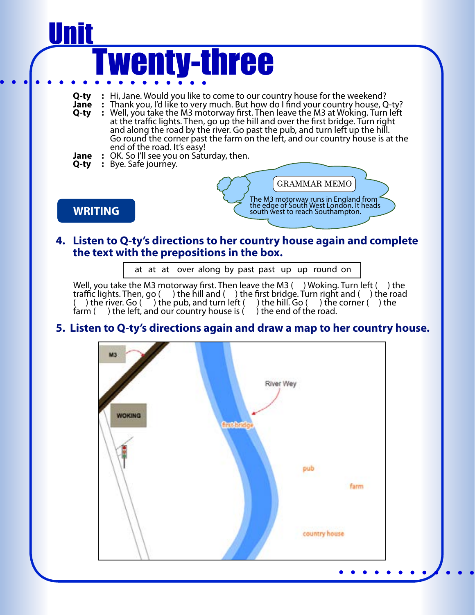

#### **4. Listen to Q-ty's directions to her country house again and complete the text with the prepositions in the box.**

at at at over along by past past up up round on

Well, you take the M3 motorway first. Then leave the M3  $($  ) Woking. Turn left  $($  ) the traffic lights. Then, go () the hill and () the first bridge. Turn right and () the road () the river. Go () the pub, and turn left () the hill. Go () the corner () the ( ) the river. Go ( ) the pub, and turn left ( ) the hill. Go ( ) the corner ( ) the farm ( ) the left, and our country house is ( ) the end of the road.

#### **5. Listen to Q-ty's directions again and draw a map to her country house.**

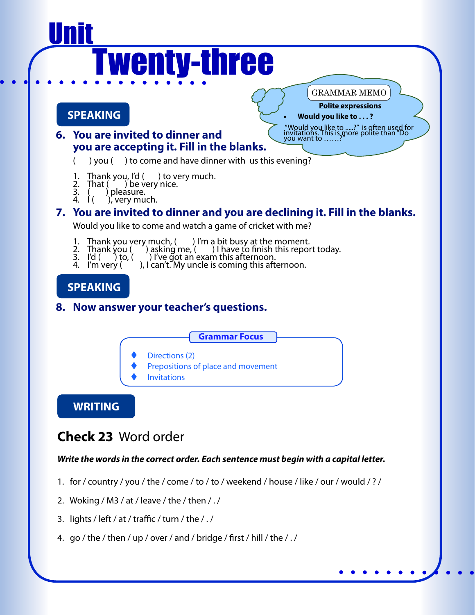# <u>Unit</u> **Twenty-three**

### **SPEAKING**

#### **Polite expressions** GRAMMAR MEMO

"Would you like to .....?" is often used for invitations. This is more polite than "Do you want to ……?"

#### **• Would you like to . . . ?**

- **6. You are invited to dinner and you are accepting it. Fill in the blanks.**
	- ( ) you ( ) to come and have dinner with us this evening?
	- 1. Thank you, I'd ( ) to very much.
	- 2. That  $($  ) be very nice.
	- 3.  $\left(\begin{array}{cc} 0 & 1 \end{array}\right)$  pleasure.
	- $\ddot{4}$ .  $\dot{1}$  (  $\dot{1}$ ), very much.

### **7. You are invited to dinner and you are declining it. Fill in the blanks.**

Would you like to come and watch a game of cricket with me?

- 1. Thank you very much,  $($ ) I'm a bit busy at the moment.
- 2. Thank you ( ) asking me, ( ) I have to finish this report today.
- 3. I'd  $($   $)$  to,  $($   $)$  I've got an exam this afternoon.
- 4. I'm very  $( )$ , I can't. My uncle is coming this afternoon.

# **SPEAKING**

### **8. Now answer your teacher's questions.**



- Directions (2)
- Prepositions of place and movement
- **Invitations**

### **WRITING**

# **Check 23** Word order

- 1. for / country / you / the / come / to / to / weekend / house / like / our / would / ? /
- 2. Woking / M3 / at / leave / the / then / . /
- 3. lights / left / at / traffic / turn / the / . /
- 4. go / the / then / up / over / and / bridge / first / hill / the / . /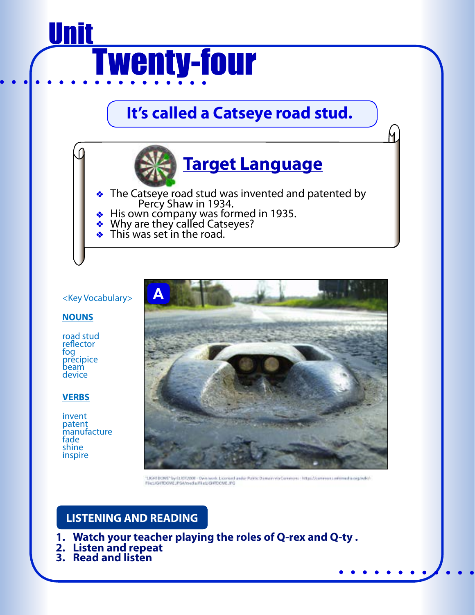

# **It's called a Catseye road stud.**



N.

- The Catseye road stud was invented and patented by<br>Percy Shaw in 1934.
- 
- Why are they called Catseyes?
- This was set in the road.

#### <Key Vocabulary>

#### **NOUNS**

road stud reflector fog precipice beam device

#### **VERBS**

invent patent manufacture fade shine inspire



"LIGHTDOME" by ELIST2008 - Dwn texts. Licensed ander Public Demain via Commons - Mtps://commons.untimedia.org/wiki/-FleUGITDOME/FGA/reduFiel/GITDOME/FG

### **LISTENING AND READING**

- **1. Watch your teacher playing the roles of Q-rex and Q-ty .**
- **2. Listen and repeat**
- **3. Read and listen**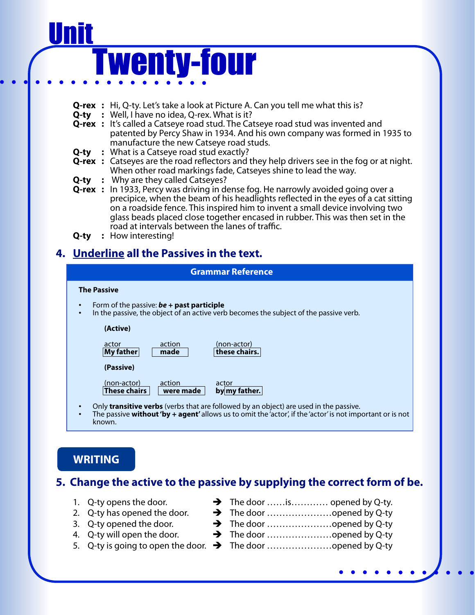# Ī <u>Unit</u> **Twenty-four**

- **Q-rex :** Hi, Q-ty. Let's take a look at Picture A. Can you tell me what this is?
- **Q-ty :** Well, I have no idea, Q-rex. What is it?
- **Q-rex** : It's called a Catseye road stud. The Catseye road stud was invented and patented by Percy Shaw in 1934. And his own company was formed in 1935 to manufacture the new Catseye road studs.
- **Q-ty :** What is a Catseye road stud exactly?
- **Q-rex** : Catseyes are the road reflectors and they help drivers see in the fog or at night. When other road markings fade, Catseyes shine to lead the way.
- **Q-ty :** Why are they called Catseyes?
- **Q-rex :** In 1933, Percy was driving in dense fog. He narrowly avoided going over a precipice, when the beam of his headlights reflected in the eyes of a cat sitting on a roadside fence. This inspired him to invent a small device involving two glass beads placed close together encased in rubber. This was then set in the road at intervals between the lanes of traffic.
- **Q-ty :** How interesting!

# **4. Underline all the Passives in the text.**

# **The Passive** • Form of the passive: *be* **+ past participle** In the passive, the object of an active verb becomes the subject of the passive verb. **(Active)** actor action (non-actor)<br> **My father made** these chair **My father made these chairs. (Passive)**  $\frac{(non-actor)}{(These chains)}$  action actor **actor by my father.** Only **transitive verbs** (verbs that are followed by an object) are used in the passive.<br>The passive **without 'by + agent'** allows us to omit the 'actor', if the 'actor' is not important or is not known. **Grammar Reference**

**WRITING**

### **5. Change the active to the passive by supplying the correct form of be.**

- 
- 2. Q-ty has opened the door. The door …………………opened by Q-ty
- 3. Q-ty opened the door. The door …………………opened by Q-ty
- 
- 5. Q-ty is going to open the door.  $\rightarrow$  The door ...........................opened by Q-ty
- 1. Q-ty opens the door.  $\rightarrow$  The door  $\dots$  is… $\dots$  opened by Q-ty.
	-
- 4. Q-ty will open the door.  $\rightarrow$  The door ...........................opened by Q-ty
	-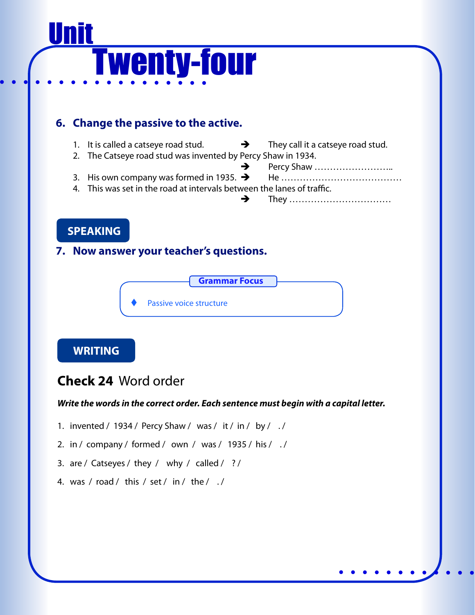# Ī <u>Unit</u> Twenty-four

## **6. Change the passive to the active.**

- 1. It is called a catseye road stud.  $\rightarrow$  They call it a catseye road stud.
- 2. The Catseye road stud was invented by Percy Shaw in 1934.
	- Percy Shaw ……………………..
- 3. His own company was formed in 1935. He ………………………………… 4. This was set in the road at intervals between the lanes of traffic.
	- They ……………………………

# **SPEAKING**

### **7. Now answer your teacher's questions.**



### **WRITING**

# **Check 24** Word order

- 1. invented / 1934 / Percy Shaw / was / it / in / by / . /
- 2. in / company / formed / own / was / 1935 / his / . /
- 3. are / Catseyes / they / why / called / ? /
- 4. was / road / this / set / in / the /  $\sqrt{ }$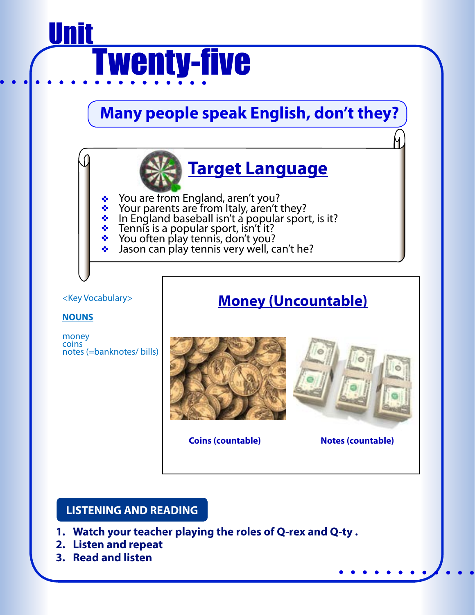# Ī <u>Unit</u> **Twenty-five**

# **Many people speak English, don't they?**



#### <Key Vocabulary>

#### **NOUNS**

money coins notes (=banknotes/ bills)

# **Money (Uncountable)**



**Coins (countable) Notes (countable)**

#### **LISTENING AND READING**

- **1. Watch your teacher playing the roles of Q-rex and Q-ty .**
- **2. Listen and repeat**
- **3. Read and listen**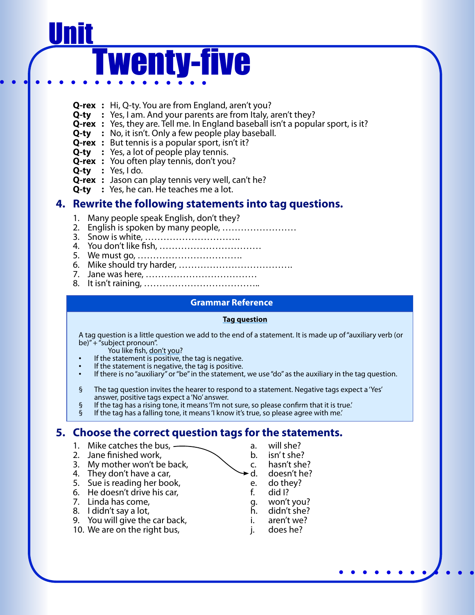# Ī <u>Unit</u> **Twenty-five**

- **Q-rex :** Hi, Q-ty. You are from England, aren't you?
- **Q-ty** : Yes, I am. And your parents are from Italy, aren't they?
- **Q-rex** : Yes, they are. Tell me. In England baseball isn't a popular sport, is it?
- **Q-ty :** No, it isn't. Only a few people play baseball.
- **Q-rex :** But tennis is a popular sport, isn't it?
- **Q-ty :** Yes, a lot of people play tennis.
- **Q-rex :** You often play tennis, don't you?
- **Q-ty :** Yes, I do.
- **Q-rex :** Jason can play tennis very well, can't he?
- **Q-ty :** Yes, he can. He teaches me a lot.

#### **4. Rewrite the following statements into tag questions.**

- 1. Many people speak English, don't they?
- 2. English is spoken by many people, ……………………
	- 3. Snow is white, ………………………….
	- 4. You don't like fish, ……………………………
	- 5. We must go, …………………………….
	- 6. Mike should try harder, ……………………………….
	- 7. Jane was here, ………………………………
	- 8. It isn't raining, ………………………………..

#### **Grammar Reference**

#### **Tag question**

A tag question is a little question we add to the end of a statement. It is made up of "auxiliary verb (or be) $" + "subject pronoun".$ 

- 
- You like fish, don't you?<br>If the statement is positive, the tag is negative.
- 
- If the statement is negative, the tag is positive.<br>• If there is no "auxiliary" or "be" in the statement, we use "do" as the auxiliary in the tag question.
- § The tag question invites the hearer to respond to a statement. Negative tags expect a 'Yes' answer, positive tags expect a 'No' answer.<br>§ If the tag has a rising tone, it means 'I'm not sure, so please confirm that it is
- $§$  If the tag has a rising tone, it means 'I'm not sure, so please confirm that it is true.'<br>If the tag has a falling tone, it means 'I know it's true, so please agree with me.'
- If the tag has a falling tone, it means 'I know it's true, so please agree with me.'

#### **5. Choose the correct question tags for the statements.**

- 1. Mike catches the bus,  $\overline{\phantom{a}}$  a. will she?
- 2. Jane finished work,  $\sim$  b. isn't she?
- 3. My mother won't be back,  $\begin{array}{ccc} 3. & \text{My mother work} & \text{Mz} \\ 4. & \text{They don't have a car,} \end{array}$  d. doesn't he?
- 4. They don't have a car,
- 5. Sue is reading her book, and the e. do they?<br>6. He doesn't drive his car. The e. did I?
- 6. He doesn't drive his car, f. did I?
- 7. Linda has come, g. won't you?
- 
- 8. I didn't say a lot, h. didn't she?<br>9. You will give the car back, h. aren't we? 9. You will give the car back, The Coventy i. aren't we?<br>10. We are on the right bus, The Coventy i. does he?
- 10. We are on the right bus,  $\qquad i.$
- 
- 
- 
- 
- 
- 
- 
- 
- 
-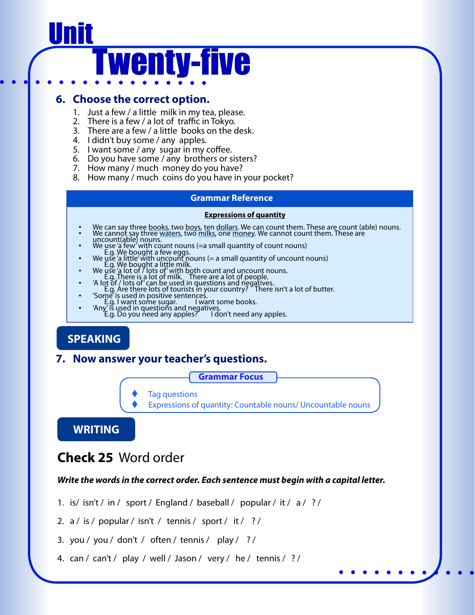# Ī <u>Unit</u> **Twenty-five**

#### **6. Choose the correct option.**

- 1. Just a few / a little milk in my tea, please.
- 2. There is a few / a lot of traffic in Tokyo.
- 3. There are a few / a little books on the desk.
- 4. I didn't buy some / any apples.
- 5. I want some / any sugar in my coffee.
- 6. Do you have some / any brothers or sisters?
- 7. How many / much money do you have?
- 8. How many / much coins do you have in your pocket?

#### **Grammar Reference**

#### **Expressions of quantity**

- We can say three <u>books</u>, two <u>boys</u>, ten dollars. We can count them. These are count (able) nouns.<br>We cannot say three <u>waters</u>, two milks, one money. We cannot count them. These are<br>uncount (able) nouns.
- 
- uncount (able) nouns.<br>
We use 'a few with count nouns (=a small quantity of count nouns)<br>
E.g. We bought a few eggs.<br>
We use 'a little' with uncount nouns (= a small quantity of uncount nouns)<br>
E.g. We bought a little milk
- 
- 
- 
- 
- 

### **SPEAKING**

#### **7. Now answer your teacher's questions.**

**Grammar Focus**

- **Tag questions**
- Expressions of quantity: Countable nouns/ Uncountable nouns

**WRITING**

# **Check 25** Word order

- 1. is/ isn't / in / sport / England / baseball / popular / it / a / ? /
- 2. a / is / popular / isn't / tennis / sport / it / ? /
- 3. you / you / don't / often / tennis / play / ? /
- 4. can / can't / play / well / Jason / very / he / tennis / ? /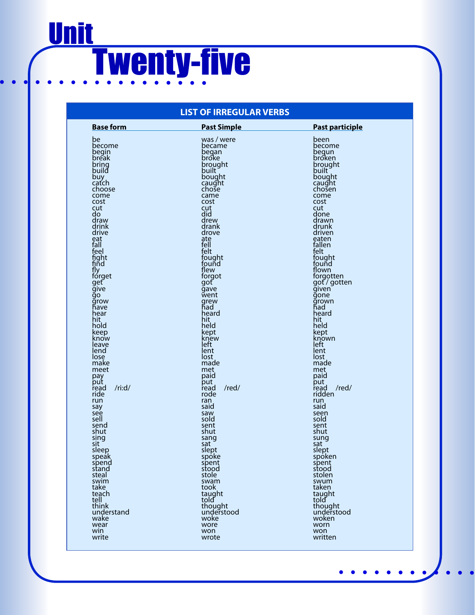# Ī **Unit** Twenty-five

#### **LIST OF IRREGULAR VERBS**

| <b>Base form</b> | <b>Past Simple</b> | <b>Past participle</b> |
|------------------|--------------------|------------------------|
| be               | was / were         | been                   |
| become           | became             | become                 |
| begin            | began              | begun                  |
| break            | broke              | broken                 |
| bring            | brought            | brought                |
| build            | built              | built                  |
| buy              | bought             | bought                 |
| caťch            | caught             | caught                 |
| choose           | chose              | chosen                 |
| come             | came               | come                   |
| cost             | cost               | cost                   |
| cut              | cut                | cut                    |
| do               | did                | done                   |
| draw             | drew               | drawn                  |
| drink            | drank              | drunk                  |
| drive            | drove              | driven                 |
| eat              | ate<br>fell        | eaten                  |
| fall<br>feel     | felt               | fallen<br>felt         |
| fight            | fought             | fought                 |
| find             | found              | fouñd                  |
| ſЈу              | flew               | flown                  |
| fórget           | forgot             | forgotten              |
| get              | got                | got/gotten             |
| give             | qave               | given                  |
| go               | went               | gone                   |
| grow             | grew               | grown                  |
| have             | had                | had                    |
| hear             | heard              | heard                  |
| hit              | hit                | hit                    |
| hold             | held               | held                   |
| keep             | kept               | kept                   |
| know             | knew               | known                  |
| leave            | left               | left                   |
| lend             | lent               | lent                   |
| lose             | lost               | lost                   |
| make             | made               | made                   |
| meet             | met                | met                    |
| pay              | paid               | paid                   |
| put              | put                | put                    |
| /ri: d/          | /red/              | /red/                  |
| read             | read               | read                   |
| ride             | rode               | ridden                 |
| run              | ran                | run                    |
| say              | said               | said                   |
| see              | saw                | seen                   |
| sell             | sold               | sold                   |
| send             | sent               | sent                   |
| shut             | shut               | shut                   |
| sing             | sang               | sung                   |
| sit              | sat                | sat                    |
| sleep            | slept              | slept                  |
| speak            | spoke              | spoken                 |
| spend            | spent              | spent                  |
| stand            | stood              | stood                  |
| steal            | stole              | stolen                 |
| swim             | swam               | swum                   |
| take<br>teach    | took               | taken                  |
| tell             | taught<br>told     | taught<br>told         |
| think            | thought            | thought                |
| understand       | understood         | understood             |
| wake             | woke               | woken                  |
| wear             | wore               | worn                   |
| win              | won                | won                    |
| write            | wrote              | written                |
|                  |                    |                        |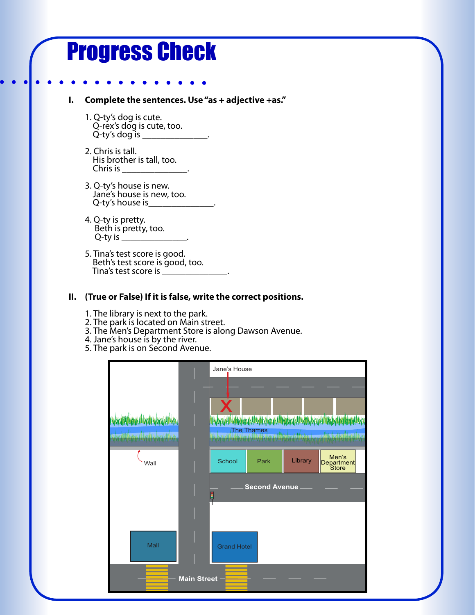# Progress Check

#### **I. Complete the sentences. Use "as + adjective +as."**

- 1. Q-ty's dog is cute.<br>Q-rex's dog is cute, too.<br>Q-ty's dog is \_\_\_\_\_\_\_\_\_\_\_\_\_\_\_
- 2. Chris is tall. His brother is tall, too.<br>Chris is
- 3. Q-ty's house is new. Jane's house is new, too. Q-ty's house is
- 4. Q-ty is pretty. Beth is pretty, too. Q-ty is  $\equiv$
- 5. Tina's test score is good. Beth's test score is good, too. Tina's test score is \_\_\_\_\_\_\_\_\_\_\_\_\_\_.

#### **II. (True or False) If it is false, write the correct positions.**

- 1. The library is next to the park.
- 2. The park is located on Main street.
- 3. The Men's Department Store is along Dawson Avenue.
- 4. Jane's house is by the river.
- 5. The park is on Second Avenue.